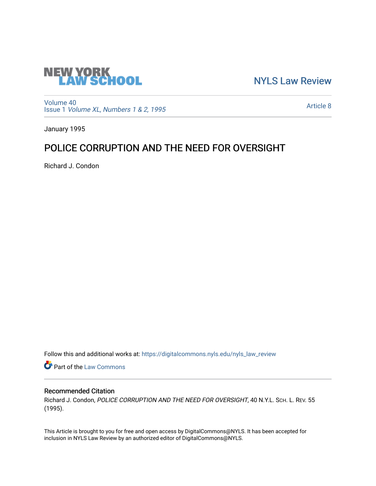

[NYLS Law Review](https://digitalcommons.nyls.edu/nyls_law_review) 

[Volume 40](https://digitalcommons.nyls.edu/nyls_law_review/vol40) Issue 1 [Volume XL, Numbers 1 & 2, 1995](https://digitalcommons.nyls.edu/nyls_law_review/vol40/iss1)

[Article 8](https://digitalcommons.nyls.edu/nyls_law_review/vol40/iss1/8) 

January 1995

# POLICE CORRUPTION AND THE NEED FOR OVERSIGHT

Richard J. Condon

Follow this and additional works at: [https://digitalcommons.nyls.edu/nyls\\_law\\_review](https://digitalcommons.nyls.edu/nyls_law_review?utm_source=digitalcommons.nyls.edu%2Fnyls_law_review%2Fvol40%2Fiss1%2F8&utm_medium=PDF&utm_campaign=PDFCoverPages) 

**Part of the [Law Commons](https://network.bepress.com/hgg/discipline/578?utm_source=digitalcommons.nyls.edu%2Fnyls_law_review%2Fvol40%2Fiss1%2F8&utm_medium=PDF&utm_campaign=PDFCoverPages)** 

## Recommended Citation

Richard J. Condon, POLICE CORRUPTION AND THE NEED FOR OVERSIGHT, 40 N.Y.L. SCH. L. REV. 55 (1995).

This Article is brought to you for free and open access by DigitalCommons@NYLS. It has been accepted for inclusion in NYLS Law Review by an authorized editor of DigitalCommons@NYLS.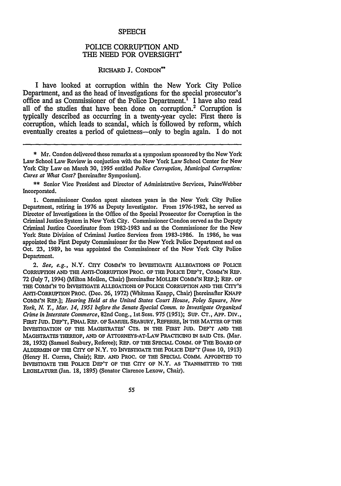#### **SPEECH**

### POLICE CORRUPTION **AND** THE **NEED** FOR OVERSIGHT

#### RICHARD **J.** CONDON\*\*

I have looked at corruption within the New York City Police Department, and as the head of investigations for the special prosecutor's office and as Commissioner of the Police Department.1 I have also read all of the studies that have been done on corruption.2 Corruption is typically described as occurring in a twenty-year cycle: First there is corruption, which leads to scandal, which is followed by reform, which eventually creates a period of quietness-only to begin again. I do not

\*\* Senior Vice President and Director of Administrative Services, PaineWebber Incorporated.

1. Commissioner Condon spent nineteen years in the New York City Police Department, retiring in 1976 as Deputy Investigator. From 1976-1982, he served as Director of Investigations in the Office of the Special Prosecutor for Corruption in the Criminal Justice System in New York City. Commissioner Condon served as the Deputy Criminal Justice Coordinator from 1982-1983 and as the Commissioner for the New York State Division of Criminal Justice Services from 1983-1986. In 1986, he was appointed the First Deputy Commissioner for the New York Police Department and on Oct. 23, 1989, he was appointed the Commissioner of the New York City Police Department.

*2. See, e.g.,* N.Y. CITY COMM'N TO INVESTIGATE ALLEGATIONS OF POLICE CORRUPTION AND **THE** ANTI-CORRuPTION PROC. OF THE POLICE DEP'T, COMM'N REP. 72 (July 7, 1994) (Milton Mollen, Chair) [hereinafter **MOLL1N** COMM'N REP.]; REP. OF THE COMM'N TO INVESTIGATE ALLEGATIONS OF POLICE CORRUPTION AND THE CITY'S ANTI-CORRUPTION PROC. (Dec. 26, 1972) (Whitman Knapp, Chair) [hereinafter KNAPP **COMM'N** REP.]; *Hearing Held at the United States Court House, Foley Square, New York, N. Y., Mar. 14,* 1951 *before the Senate Special Comm. to Investigate Organized Crime in Interstate Commerce,* 82nd Cong., lst Sess. 975 (1951); SUP. **CT.,** APP. DIv., FIRST JUD. DEP'T, **FINAL** REP. OF SAMUEL SEABURY, REFEREE, IN **THE** MATTER OF **Tm** INVESTIGATION **OF THE** MAGISTRATES' CTS. IN **THE** FIRST JUD. **DEP'T** AND THE MAGISTRATES THEREOF, **AND** OF ATrORNEYS-AT-LAW PRACTICING IN SAID **CTS.** (Mar. 28, 1932) (Samuel Seabury, Referee); REP. OF THE SPECIAL COMM. OF THE BOARD OF ALDERIEN OF **THE** CITY OF N.Y. TO INVESTIGATE **THE** POLICE DEP'T (June 10, 1913) (Henry H. Curran, Chair); REP. **AND** PROC. **OF** THE SPECIAL COMM. APPOINTED TO INVESTIGATE THE POLICE DEP'T OF **THE** CITY OF N.Y. AS TRANSMrITED TO THE LEGISLATURE (Jan. 18, 1895) (Senator Clarence Lexow, Chair).

55

<sup>\*</sup> Mr. Condon delivered these remarks at a symposium sponsored by the New York Law School Law Review in conjuction with the New York Law School Center for New York City Law on March **30,** 1995 entitled *Police Corruption, Municipal Corruption: Cures at What Cost?* [hereinafter Symposium].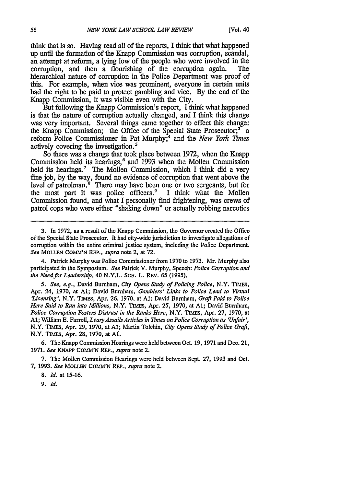think that is so. Having read all of the reports, I think that what happened up until the formation of the Knapp Commission was corruption, scandal, an attempt at reform, a lying low of the people who were involved in the corruption, and then a flourishing of the corruption again. The hierarchical nature of corruption in the Police Department was proof of this. For example, when vice was prominent, everyone in certain units had the right to be paid to protect gambling and vice. By the end of the Knapp Commission, it was visible even with the City.

But following the Knapp Commission's report, I think what happened is that the nature of corruption actually changed, and I think this change was very important. Several things came together to effect this change: the Knapp Commission; the Office of the Special State Prosecutor;<sup>3</sup> a reform Police Commissioner in Pat Murphy;' and the *New York Times* actively covering the investigation.<sup>5</sup>

So there was a change that took place between 1972, when the Knapp Commission held its hearings, 6 and **1993** when the Mollen Commission held its hearings.<sup>7</sup> The Mollen Commission, which I think did a very fine job, by the way, found no evidence of corruption that went above the level of patrolman.<sup>8</sup> There may have been one or two sergeants, but for the most part it was police officers.<sup>9</sup> I think what the Mollen Commission found, and what I personally find frightening, was crews of patrol cops who were either "shaking down" or actually robbing narcotics

4. Patrick Murphy was Police Commissioner from 1970 to 1973. Mr. Murphy also participated in the Symposium. *See* Patrick V. Murphy, Speech: *Police Corruption and the Need for Leadership,* 40 N.Y.L. **SCH.** L. REV. *65 (1995).*

*5. See, e.g.,* David Burnham, *City Opens Study of Policing Police,* N.Y. TIMES, Apr. 24, 1970, at **Al;** David Burnham, *Gamblers' Links to Police Lead to Virtual 'Licensing',* N.Y. TIMES, Apr. 26, 1970, at **Al;** David Burnham, *Graft Paid to Police Here Said to Run into Millions,* N.Y. TIMES, Apr. 25, 1970, at **Al;** David Burnham, *Police Corruption Fosters Distrust in the Ranks Here,* N.Y. *TIMES,* Apr. 27, 1970, at **A1;** William E. Farrell, *Leary Assails Articles in 77mes on Police Corruption as 'Unfair',* N.Y. TIMEs, Apr. 29, 1970, at **Al;** Martin Tolchin, *City Opens Study of Police Graft,* N.Y. TIMES, Apr. 28, 1970, at **Af.**

6. The Knapp Commission Hearings were held between Oct. 19, 1971 and Dec. 21, **1971.** *See* **KNAPP CoMM'N** REP., *supra* note 2.

7. The Mollen Commission Hearings were held between Sept. **27,** 1993 and Oct. **7,** 1993. *See* MOLLEN COMM'N REP., *supra* note 2.

**8.** *Id.* at **15-16.**

*9. Id.*

**<sup>3.</sup>** In **1972,** as a result of the Knapp Commission, the Governor created the Office of the Special State Prosecutor. It had city-wide jurisdiction to investigate allegations of corruption within the entire criminal justice system, including the Police Department. *See* MOLLEN COMM'N REP., *supra* note 2, at 72.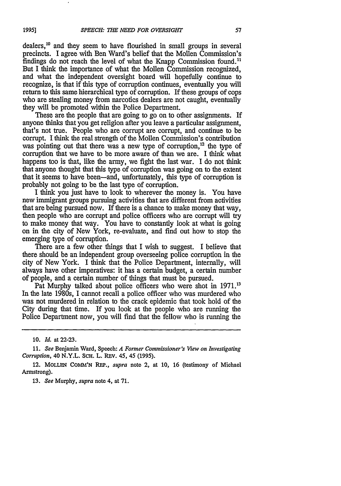dealers,"0 and they seem to have flourished in small groups in several precincts. I agree with Ben Ward's belief that the Mollen Commission's findings do not reach the level of what the Knapp Commission found." But I think the importance of what the Mollen Commission recognized, and what the independent oversight board will hopefully continue to recognize, is that if this type of corruption continues, eventually you will return to this same hierarchical type of corruption. If these groups of cops who are stealing money from narcotics dealers are not caught, eventually they will be promoted within the Police Department.

These are the people that are going to go on to other assignments. If anyone thinks that you get religion after you leave a particular assignment, that's not true. People who are corrupt are corrupt, and continue to be corrupt. I think the real strength of the Mollen Commission's contribution was pointing out that there was a new type of corruption,<sup>12</sup> the type of corruption that we have to be more aware of than we are. I think what happens too is that, like the army, we fight the last war. I do not think that anyone thought that this type of corruption was going on to the extent that it seems to have been-and, unfortunately, this type of corruption is probably not going to be the last type of corruption.

I think you just have to look to wherever the money is. You have new immigrant groups pursuing activities that are different from activities that are being pursued now. If there is a chance to make money that way, then people who are corrupt and police officers who are corrupt will try to make money that way. You have to constantly look at what is going on in the city of New York, re-evaluate, and find out how to stop the emerging type of corruption.

There are a few other things that I wish to suggest. I believe that there should be an independent group overseeing police corruption in the city of New York. I think that the Police Department, internally, will always have other imperatives: it has a certain budget, a certain number of people, and a certain number of things that must be pursued.

Pat Murphy talked about police officers who were shot in 1971.<sup>13</sup> In the late 1980s, I cannot recall a police officer who was murdered who was not murdered in relation to the crack epidemic that took hold of the City during that time. If you look at the people who are running the Police Department now, you will find that the fellow who is running the

**13.** *See* Murphy, *supra* note 4, at **71.**

**<sup>10.</sup>** *Id.* at **22-23.**

**<sup>11.</sup>** *See* Benjamin Ward, Speech: *A Former Commissioner's View on Investigating Corruption, 40 N.Y.L. SCH. L. REV. 45, 45 (1995).* 

<sup>12.</sup> MOLLEN COMM'N REP., *supra* note 2, at 10, 16 (testimony of Michael Armstrong).